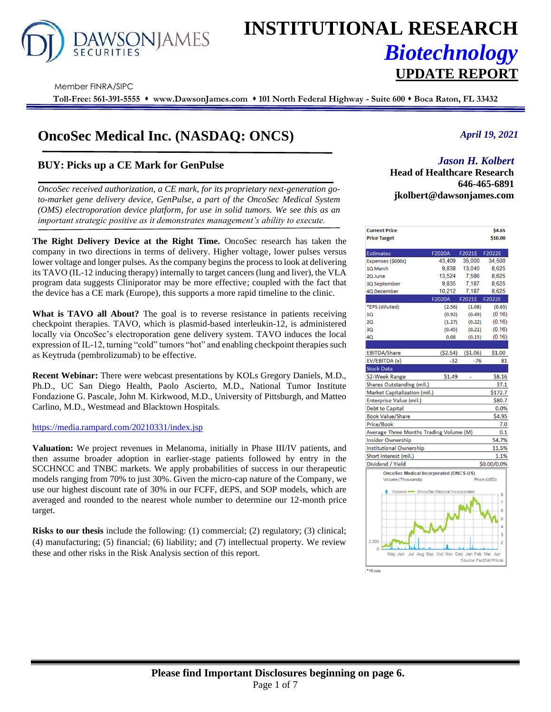

# **INSTITUTIONAL RESEARCH** *Biotechnology* **UPDATE REPORT**

Member FINRA/SIPC

**Toll-Free: 561-391-5555** ⬧ **www.DawsonJames.com** ⬧ **101 North Federal Highway - Suite 600** ⬧ **Boca Raton, FL 33432**

# **OncoSec Medical Inc. (NASDAQ: ONCS)**

# **BUY: Picks up a CE Mark for GenPulse**

*OncoSec received authorization, a CE mark, for its proprietary next-generation goto-market gene delivery device, GenPulse, a part of the OncoSec Medical System (OMS) electroporation device platform, for use in solid tumors. We see this as an important strategic positive as it demonstrates management's ability to execute.*

**The Right Delivery Device at the Right Time.** OncoSec research has taken the company in two directions in terms of delivery. Higher voltage, lower pulses versus lower voltage and longer pulses. As the company begins the process to look at delivering its TAVO (IL-12 inducing therapy) internally to target cancers (lung and liver), the VLA program data suggests Cliniporator may be more effective; coupled with the fact that the device has a CE mark (Europe), this supports a more rapid timeline to the clinic.

**What is TAVO all About?** The goal is to reverse resistance in patients receiving checkpoint therapies. TAVO, which is plasmid-based interleukin-12, is administered locally via OncoSec's electroporation gene delivery system. TAVO induces the local expression of IL-12, turning "cold" tumors "hot" and enabling checkpoint therapies such as Keytruda (pembrolizumab) to be effective.

**Recent Webinar:** There were webcast presentations by KOLs Gregory Daniels, M.D., Ph.D., UC San Diego Health, Paolo Ascierto, M.D., National Tumor Institute Fondazione G. Pascale, John M. Kirkwood, M.D., University of Pittsburgh, and Matteo Carlino, M.D., Westmead and Blacktown Hospitals.

<https://media.rampard.com/20210331/index.jsp>

**Valuation:** We project revenues in Melanoma, initially in Phase III/IV patients, and then assume broader adoption in earlier-stage patients followed by entry in the SCCHNCC and TNBC markets. We apply probabilities of success in our therapeutic models ranging from 70% to just 30%. Given the micro-cap nature of the Company, we use our highest discount rate of 30% in our FCFF, dEPS, and SOP models, which are averaged and rounded to the nearest whole number to determine our 12-month price target.

**Risks to our thesis** include the following: (1) commercial; (2) regulatory; (3) clinical; (4) manufacturing; (5) financial; (6) liability; and (7) intellectual property. We review these and other risks in the Risk Analysis section of this report.

### *April 19, 2021*

## *Jason H. Kolbert*

**Investment Highlights Head of Healthcare Research 646-465-6891 jkolbert@dawsonjames.com**

| <b>Current Price</b>                          |                 |                        | \$4.65         |
|-----------------------------------------------|-----------------|------------------------|----------------|
| <b>Price Target</b>                           |                 |                        | \$10.00        |
| <b>Estimates</b>                              | F2020A          | F2021E                 | F2022E         |
| Expenses (\$000s)                             | 43.409          | 35.000                 | 34.500         |
| 1Q March                                      | 9,838           | 13,040                 | 8,625          |
| 2Q June                                       | 13,524          | 7,586                  | 8.625          |
| 3Q September                                  | 9,835           | 7,187                  | 8,625          |
| <b>4Q December</b>                            | 10,212          | 7,187                  | 8,625          |
|                                               | <b>F2020A</b>   | F2021E                 | F2022E         |
| *EPS (diluted)                                | (2.56)          | (1.08)                 | (0.65)         |
| 10                                            | (0.92)          | (0.49)                 | (0.16)         |
| 20                                            | (1.27)          | (0.22)                 | (0.16)         |
| 3Q                                            | (0.45)          | (0.21)                 | (0.16)         |
| 4Q                                            | 0.08            | (0.15)                 | (0.16)         |
|                                               |                 |                        |                |
| <b>EBITDA/Share</b>                           | (52.54)         | ( \$1.06)              | \$1.00         |
| EV/EBITDA (x)                                 | $-32$           | $-76$                  | 81             |
| <b>Stock Data</b>                             |                 |                        |                |
| 52-Week Range                                 | \$1.49          | ä,                     | \$8.16         |
| Shares Outstanding (mil.)                     |                 |                        | 37.1           |
| Market Capitalization (mil.)                  |                 |                        | \$172.7        |
| <b>Enterprise Value (mil.)</b>                |                 |                        | \$80.7         |
| <b>Debt to Capital</b>                        |                 |                        | 0.0%           |
| <b>Book Value/Share</b>                       |                 |                        | \$4.95         |
| <b>Price/Book</b>                             |                 |                        | 7.0            |
| Average Three Months Trading Volume (M)       |                 |                        | 0.1            |
| <b>Insider Ownership</b>                      |                 |                        | 54.7%          |
| <b>Institutional Ownership</b>                |                 |                        | 11.5%          |
| Short interest (mil.)                         |                 |                        | 1.1%           |
| Dividend / Yield                              |                 |                        | \$0.00/0.0%    |
| <b>OncoSec Medical Incorporated (ONCS-US)</b> |                 |                        |                |
| Volume (Thousands)                            |                 |                        | Price (USD)    |
| Volume CncoSec Medical Incorporated           |                 |                        |                |
|                                               |                 |                        | 8              |
|                                               |                 |                        | 7              |
|                                               |                 |                        | 6              |
|                                               |                 |                        | 5              |
|                                               |                 |                        | 4              |
|                                               |                 |                        | 3              |
| 2,000                                         |                 |                        | $\overline{2}$ |
| May Jun<br>Jul                                | Aug Sep Oct Nov | Dec Jan Feb Mar Apr    |                |
|                                               |                 | Source: FactSet Prices |                |
| *YE July                                      |                 |                        |                |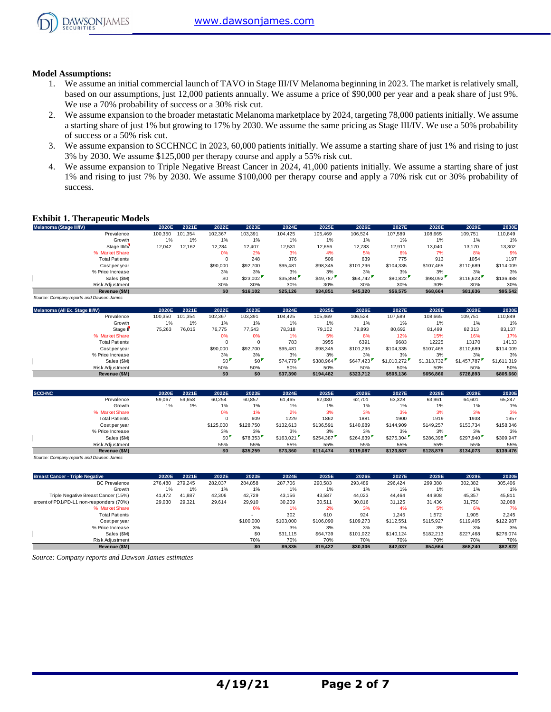

#### **Model Assumptions:**

- 1. We assume an initial commercial launch of TAVO in Stage III/IV Melanoma beginning in 2023. The market is relatively small, based on our assumptions, just 12,000 patients annually. We assume a price of \$90,000 per year and a peak share of just 9%. We use a 70% probability of success or a 30% risk cut.
- 2. We assume expansion to the broader metastatic Melanoma marketplace by 2024, targeting 78,000 patients initially. We assume a starting share of just 1% but growing to 17% by 2030. We assume the same pricing as Stage III/IV. We use a 50% probability of success or a 50% risk cut.
- 3. We assume expansion to SCCHNCC in 2023, 60,000 patients initially. We assume a starting share of just 1% and rising to just 3% by 2030. We assume \$125,000 per therapy course and apply a 55% risk cut.
- 4. We assume expansion to Triple Negative Breast Cancer in 2024, 41,000 patients initially. We assume a starting share of just 1% and rising to just 7% by 2030. We assume \$100,000 per therapy course and apply a 70% risk cut or 30% probability of success.

#### **Exhibit 1. Therapeutic Models**

| Melanoma (Stage III/IV)                  | 2020E   | 2021E   | 2022E    | 2023E    | 2024E    | 2025E    | 2026E     | 2027E     | 2028E     | 2029E     | 2030E     |
|------------------------------------------|---------|---------|----------|----------|----------|----------|-----------|-----------|-----------|-----------|-----------|
| Prevalence                               | 100,350 | 101.354 | 102.367  | 103,391  | 104.425  | 105.469  | 106.524   | 107.589   | 108.665   | 109.751   | 110,849   |
| Growth                                   | 1%      | 1%      | 1%       | 1%       | 1%       | 1%       | 1%        | 1%        | 1%        | 1%        | 1%        |
| Stage III/IV                             | 12,042  | 12,162  | 12,284   | 12,407   | 12,531   | 12,656   | 12,783    | 12,911    | 13,040    | 13,170    | 13,302    |
| % Market Share                           |         |         | 0%       | 2%       | 3%       | 4%       | 5%        | 6%        | 7%        | 8%        | 9%        |
| <b>Total Patients</b>                    |         |         | 0        | 248      | 376      | 506      | 639       | 775       | 913       | 1054      | 1197      |
| Cost per year                            |         |         | \$90,000 | \$92,700 | \$95,481 | \$98,345 | \$101.296 | \$104.335 | \$107,465 | \$110,689 | \$114,009 |
| % Price Increase                         |         |         | 3%       | 3%       | 3%       | 3%       | 3%        | 3%        | 3%        | 3%        | 3%        |
| Sales (\$M)                              |         |         | \$0      | \$23.002 | \$35,894 | \$49.787 | \$64.742  | \$80,822  | \$98,092  | \$116,623 | \$136,488 |
| Risk Adjustment                          |         |         | 30%      | 30%      | 30%      | 30%      | 30%       | 30%       | 30%       | 30%       | 30%       |
| Revenue (\$M)                            |         |         | \$0      | \$16.102 | \$25,126 | \$34,851 | \$45,320  | \$56,575  | \$68,664  | \$81,636  | \$95,542  |
| Source: Company reports and Dawson James |         |         |          |          |          |          |           |           |           |           |           |

| Melanoma (All Ex. Stage III/IV) | 2020E   | 2021E   | 2022E    | 2023E    | 2024E    | 2025E     | 2026E     | 2027E       | 2028E       | 2029E       | 2030E       |
|---------------------------------|---------|---------|----------|----------|----------|-----------|-----------|-------------|-------------|-------------|-------------|
| Prevalence                      | 100.350 | 101.354 | 102.367  | 103.391  | 104.425  | 105.469   | 106.524   | 107.589     | 108.665     | 109.751     | 110.849     |
| Growth                          | 1%      | $1\%$   | 1%       | 1%       | 1%       | $1\%$     | 1%        | $1\%$       | 1%          | 1%          | 1%          |
| Stage II <sup>V</sup>           | 75,263  | 76,015  | 76,775   | 77.543   | 78,318   | 79,102    | 79,893    | 80,692      | 81,499      | 82,313      | 83,137      |
| % Market Share                  |         |         | 0%       | 0%       | 1%       | 5%        | 8%        | 12%         | 15%         | 16%         | 17%         |
| <b>Total Patients</b>           |         |         |          |          | 783      | 3955      | 6391      | 9683        | 12225       | 13170       | 14133       |
| Cost per year                   |         |         | \$90,000 | \$92,700 | \$95,481 | \$98,345  | \$101.296 | \$104.335   | \$107,465   | \$110,689   | \$114,009   |
| % Price Increase                |         |         | 3%       | 3%       | 3%       | 3%        | 3%        | 3%          | 3%          | 3%          | 3%          |
| Sales (\$M)                     |         |         | \$0      | \$0      | \$74.779 | \$388.964 | \$647,423 | \$1.010.272 | \$1,313,732 | \$1,457,787 | \$1,611,319 |
| Risk Adjustment                 |         |         | 50%      | 50%      | 50%      | 50%       | 50%       | 50%         | 50%         | 50%         | 50%         |
| Revenue (\$M)                   |         |         | \$0      | \$0      | \$37.390 | \$194.482 | \$323.712 | \$505.136   | \$656,866   | \$728.893   | \$805,660   |

| <b>SCCHNC</b>         | 2020E  | 2021E  | 2022E     | 2023E     | 2024E     | 2025E     | 2026E     | 2027E     | 2028E     | 2029E     | 2030E     |
|-----------------------|--------|--------|-----------|-----------|-----------|-----------|-----------|-----------|-----------|-----------|-----------|
| Prevalence            | 59,067 | 59,658 | 60,254    | 60,857    | 61,465    | 62,080    | 62.701    | 63,328    | 63,961    | 64,601    | 65,247    |
| Growth                | $1\%$  | 1%     | 1%        | 1%        | 1%        | 1%        | 1%        | $1\%$     | 1%        | 1%        | 1%        |
| % Market Share        |        |        | 0%        | 1%        | 2%        | 3%        | 3%        | 3%        | 3%        | 3%        | 3%        |
| <b>Total Patients</b> |        |        |           | 609       | 1229      | 1862      | 1881      | 1900      | 1919      | 1938      | 1957      |
| Cost per year         |        |        | \$125,000 | \$128,750 | \$132,613 | \$136,591 | \$140.689 | \$144,909 | \$149,257 | \$153,734 | \$158,346 |
| % Price Increase      |        |        | 3%        | 3%        | 3%        | 3%        | 3%        | 3%        | 3%        | 3%        | 3%        |
| Sales (\$M)           |        |        | \$0       | \$78,353  | \$163,021 | \$254.387 | \$264,639 | \$275,304 | \$286,398 | \$297,940 | \$309,947 |
| Risk Adjustment       |        |        | 55%       | 55%       | 55%       | 55%       | 55%       | 55%       | 55%       | 55%       | 55%       |
| Revenue (\$M)         |        |        | \$0       | \$35,259  | \$73,360  | \$114,474 | \$119.087 | \$123,887 | \$128,879 | \$134,073 | \$139,476 |

*Source: Company reports and Dawson James*

| <b>Breast Cancer - Triple Negative</b>    | 2020E   | 2021E   | 2022E   | 2023E     | 2024E     | 2025E     | 2026E     | 2027E     | 2028E     | 2029E     | 2030E     |
|-------------------------------------------|---------|---------|---------|-----------|-----------|-----------|-----------|-----------|-----------|-----------|-----------|
| <b>BC</b> Prevalence                      | 276,480 | 279.245 | 282.037 | 284.858   | 287.706   | 290.583   | 293.489   | 296.424   | 299.388   | 302,382   | 305,406   |
| Growth                                    | 1%      | 1%      | 1%      | 1%        | $1\%$     | 1%        | 1%        | 1%        | 1%        | 1%        | 1%        |
| Triple Negative Breast Cancer (15%)       | 41.472  | 41.887  | 42.306  | 42.729    | 43.156    | 43.587    | 44.023    | 44.464    | 44.908    | 45,357    | 45,811    |
| 'ercent of PD1/PD-L1 non-responders (70%) | 29,030  | 29.321  | 29.614  | 29.910    | 30.209    | 30.511    | 30.816    | 31.125    | 31.436    | 31.750    | 32,068    |
| % Market Share                            |         |         |         | 0%        | $1\%$     | 2%        | 3%        | 4%        | 5%        | 6%        | 7%        |
| <b>Total Patients</b>                     |         |         |         |           | 302       | 610       | 924       | 1.245     | 1.572     | 1,905     | 2,245     |
| Cost per year                             |         |         |         | \$100,000 | \$103,000 | \$106,090 | \$109,273 | \$112,551 | \$115,927 | \$119,405 | \$122,987 |
| % Price Increase                          |         |         |         | 3%        | 3%        | 3%        | 3%        | 3%        | 3%        | 3%        | 3%        |
| Sales (\$M)                               |         |         |         | \$0       | \$31,115  | \$64,739  | \$101.022 | \$140.124 | \$182,213 | \$227,468 | \$276,074 |
| Risk Adjustment                           |         |         |         | 70%       | 70%       | 70%       | 70%       | 70%       | 70%       | 70%       | 70%       |
| Revenue (\$M)                             |         |         |         | \$0       | \$9.335   | \$19,422  | \$30.306  | \$42.037  | \$54.664  | \$68,240  | \$82.822  |

*Source: Company reports and Dawson James estimates*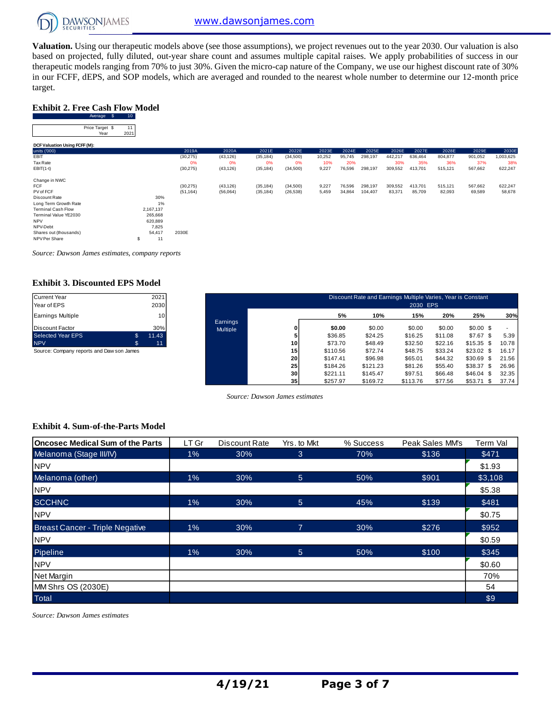

**Valuation.** Using our therapeutic models above (see those assumptions), we project revenues out to the year 2030. Our valuation is also based on projected, fully diluted, out-year share count and assumes multiple capital raises. We apply probabilities of success in our therapeutic models ranging from 70% to just 30%. Given the micro-cap nature of the Company, we use our highest discount rate of 30% in our FCFF, dEPS, and SOP models, which are averaged and rounded to the nearest whole number to determine our 12-month price target.

#### **Exhibit 2. Free Cash Flow Model**

Average \$ 10

| Price Target \$<br>Year       | 11   |           |           |           |           |           |        |        |         |         |         |         |         |           |
|-------------------------------|------|-----------|-----------|-----------|-----------|-----------|--------|--------|---------|---------|---------|---------|---------|-----------|
|                               | 2021 |           |           |           |           |           |        |        |         |         |         |         |         |           |
| DCF Valuation Using FCFF (M): |      |           |           |           |           |           |        |        |         |         |         |         |         |           |
| units ('000)                  |      |           | 2019A     | 2020A     | 2021E     | 2022E     | 2023E  | 2024E  | 2025E   | 2026E   | 2027E   | 2028E   | 2029E   | 2030E     |
| EBIT                          |      |           | (30, 275) | (43, 126) | (35, 184) | (34,500)  | 10,252 | 95,745 | 298,197 | 442,217 | 636,464 | 804,877 | 901,052 | 1,003,625 |
| Tax Rate                      |      |           | 0%        | 0%        | 0%        | 0%        | 10%    | 20%    |         | 30%     | 35%     | 36%     | 37%     | 38%       |
| $EBIT(1-t)$                   |      |           | (30, 275) | (43, 126) | (35, 184) | (34,500)  | 9,227  | 76,596 | 298,197 | 309,552 | 413,701 | 515,121 | 567,662 | 622,247   |
| Change in NWC                 |      |           |           |           |           |           |        |        |         |         |         |         |         |           |
| <b>FCF</b>                    |      |           | (30, 275) | (43, 126) | (35, 184) | (34,500)  | 9,227  | 76,596 | 298,197 | 309,552 | 413,701 | 515,121 | 567,662 | 622,247   |
| PV of FCF                     |      |           | (51, 164) | (56,064)  | (35, 184) | (26, 538) | 5,459  | 34,864 | 104,407 | 83,371  | 85,709  | 82,093  | 69,589  | 58,678    |
| Discount Rate                 |      | 30%       |           |           |           |           |        |        |         |         |         |         |         |           |
| Long Term Growth Rate         |      | 1%        |           |           |           |           |        |        |         |         |         |         |         |           |
| <b>Terminal Cash Flow</b>     |      | 2,167,137 |           |           |           |           |        |        |         |         |         |         |         |           |
| Terminal Value YE2030         |      | 265,668   |           |           |           |           |        |        |         |         |         |         |         |           |
| <b>NPV</b>                    |      | 620,889   |           |           |           |           |        |        |         |         |         |         |         |           |
| NPV-Debt                      |      | 7,825     |           |           |           |           |        |        |         |         |         |         |         |           |
| Shares out (thousands)        |      | 54,417    | 2030E     |           |           |           |        |        |         |         |         |         |         |           |
| NPV Per Share                 | s    | 11        |           |           |           |           |        |        |         |         |         |         |         |           |

*Source: Dawson James estimates, company reports*

#### **Exhibit 3. Discounted EPS Model**

| 2021        |
|-------------|
| 2030        |
| 10          |
| 30%         |
| \$<br>11.43 |
| \$<br>11    |
|             |

| Current Year<br>Year of EPS               |               | 2021<br>2030 |                 | Discount Rate and Earnings Multiple Varies, Year is Constant<br>2030 EPS |          |          |          |         |                 |       |  |  |
|-------------------------------------------|---------------|--------------|-----------------|--------------------------------------------------------------------------|----------|----------|----------|---------|-----------------|-------|--|--|
|                                           |               |              |                 |                                                                          |          |          |          |         |                 |       |  |  |
| Earnings Multiple                         |               | 10           | Earnings        |                                                                          | 5%       | 10%      | 15%      | 20%     | 25%             | 30%   |  |  |
| Discount Factor                           |               | 30%          | <b>Multiple</b> | 0                                                                        | \$0.00   | \$0.00   | \$0.00   | \$0.00  | $$0.00$ \$      |       |  |  |
| Selected Year EPS                         | $\mathbf{\$}$ | 11.43        |                 |                                                                          | \$36.85  | \$24.25  | \$16.25  | \$11.08 | $$7.67$ \$      | 5.39  |  |  |
| <b>NPV</b>                                | - 33          | 11           |                 | 10 <sub>1</sub>                                                          | \$73.70  | \$48.49  | \$32.50  | \$22.16 | $$15.35$ \$     | 10.78 |  |  |
| Source: Company reports and Daw son James |               |              |                 | 15                                                                       | \$110.56 | \$72.74  | \$48.75  | \$33.24 | $$23.02$ \$     | 16.17 |  |  |
|                                           |               |              |                 | 20                                                                       | \$147.41 | \$96.98  | \$65.01  | \$44.32 | \$30.69<br>\$   | 21.56 |  |  |
|                                           |               |              |                 | 25                                                                       | \$184.26 | \$121.23 | \$81.26  | \$55.40 | \$38.37<br>- \$ | 26.96 |  |  |
|                                           |               |              |                 | 30                                                                       | \$221.11 | \$145.47 | \$97.51  | \$66.48 | \$46.04<br>\$   | 32.35 |  |  |
|                                           |               |              |                 | 35 <sub>1</sub>                                                          | \$257.97 | \$169.72 | \$113.76 | \$77.56 | \$53.71<br>\$   | 37.74 |  |  |

*Source: Dawson James estimates*

#### **Exhibit 4. Sum-of-the-Parts Model**

| <b>Oncosec Medical Sum of the Parts</b> | LT Gr | Discount Rate | Yrs. to Mkt | % Success | Peak Sales MM's | Term Val |
|-----------------------------------------|-------|---------------|-------------|-----------|-----------------|----------|
| Melanoma (Stage III/IV)                 | $1\%$ | 30%           | 3           | 70%       | \$136           | \$471    |
| <b>NPV</b>                              |       |               |             |           |                 | \$1.93   |
| Melanoma (other)                        | $1\%$ | 30%           | 5           | 50%       | \$901           | \$3,108  |
| <b>NPV</b>                              |       |               |             |           |                 | \$5.38   |
| <b>SCCHNC</b>                           | $1\%$ | 30%           | 5           | 45%       | \$139           | \$481    |
| <b>NPV</b>                              |       |               |             |           |                 | \$0.75   |
| <b>Breast Cancer - Triple Negative</b>  | $1\%$ | 30%           | 7           | 30%       | \$276           | \$952    |
| <b>NPV</b>                              |       |               |             |           |                 | \$0.59   |
| Pipeline                                | $1\%$ | 30%           | 5           | 50%       | \$100           | \$345    |
| <b>NPV</b>                              |       |               |             |           |                 | \$0.60   |
| Net Margin                              |       |               |             |           |                 | 70%      |
| MM Shrs OS (2030E)                      |       |               |             |           |                 | 54       |
| Total                                   |       |               |             |           |                 | \$9      |

*Source: Dawson James estimates*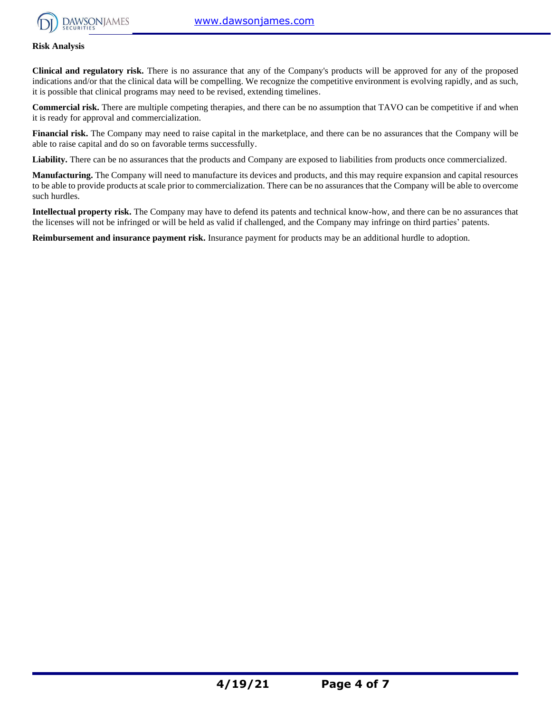

#### **Risk Analysis**

**Clinical and regulatory risk.** There is no assurance that any of the Company's products will be approved for any of the proposed indications and/or that the clinical data will be compelling. We recognize the competitive environment is evolving rapidly, and as such, it is possible that clinical programs may need to be revised, extending timelines.

**Commercial risk.** There are multiple competing therapies, and there can be no assumption that TAVO can be competitive if and when it is ready for approval and commercialization.

**Financial risk.** The Company may need to raise capital in the marketplace, and there can be no assurances that the Company will be able to raise capital and do so on favorable terms successfully.

Liability. There can be no assurances that the products and Company are exposed to liabilities from products once commercialized.

**Manufacturing.** The Company will need to manufacture its devices and products, and this may require expansion and capital resources to be able to provide products at scale prior to commercialization. There can be no assurances that the Company will be able to overcome such hurdles.

**Intellectual property risk.** The Company may have to defend its patents and technical know-how, and there can be no assurances that the licenses will not be infringed or will be held as valid if challenged, and the Company may infringe on third parties' patents.

**Reimbursement and insurance payment risk.** Insurance payment for products may be an additional hurdle to adoption.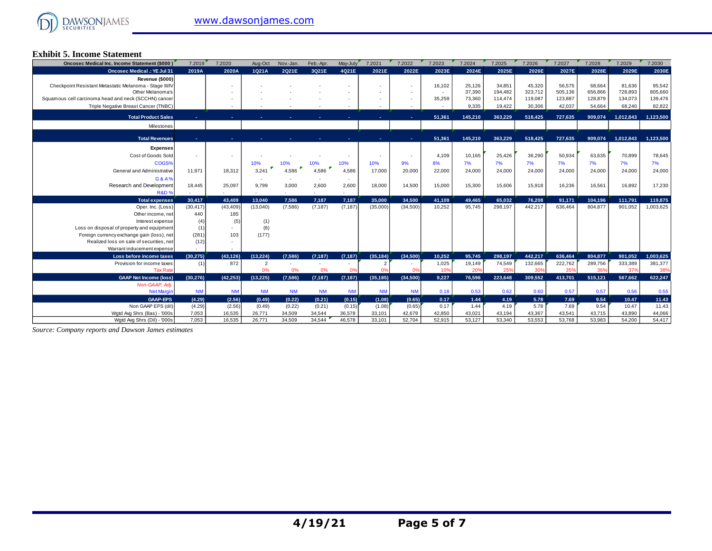#### **Exhibit 5. Income Statement**

| Oncosec Medical Inc. Income Statement (\$000)           | 7.2019    | 7.2020    | Aug-Oct        | Nov.-Jan. | Feb.-Apr. | May-July  | 7.2021         | 7.2022    | 7.2023 | 7.2024  | 7.2025  | 7.2026  | 7.2027  | 7.2028  | 7.2029    | 7.2030    |
|---------------------------------------------------------|-----------|-----------|----------------|-----------|-----------|-----------|----------------|-----------|--------|---------|---------|---------|---------|---------|-----------|-----------|
| <b>Oncosec Medical .: YE Jul 31</b>                     | 2019A     | 2020A     | 1Q21A          | 2Q21E     | 3Q21E     | 4Q21E     | 2021E          | 2022E     | 2023E  | 2024E   | 2025E   | 2026E   | 2027E   | 2028E   | 2029E     | 2030E     |
| Revenue (\$000)                                         |           |           |                |           |           |           |                |           |        |         |         |         |         |         |           |           |
| Checkpoint Resistant Metastatic Melanoma - Stage III/IV |           |           |                |           |           |           |                | $\sim$    | 16,102 | 25,126  | 34,851  | 45,320  | 56,575  | 68.664  | 81,636    | 95,542    |
| Other Melanoma's                                        |           |           |                |           |           |           |                |           |        | 37.390  | 194.482 | 323.712 | 505,136 | 656,866 | 728,893   | 805,660   |
| Squamous cell carcinoma head and neck (SCCHN) cancer    |           |           |                |           |           |           |                |           | 35,259 | 73,360  | 114,474 | 119,087 | 123,887 | 128,879 | 134,073   | 139,476   |
| Triple Negative Breast Cancer (TNBC)                    |           |           |                |           |           |           |                |           |        | 9,335   | 19,422  | 30,306  | 42,037  | 54,664  | 68,240    | 82,822    |
| <b>Total Product Sales</b>                              |           |           |                |           |           |           |                |           | 51,361 | 145,210 | 363.229 | 518,425 | 727.635 | 909,074 | 1,012,843 | 1,123,500 |
| Milestones                                              |           |           |                |           |           |           |                |           |        |         |         |         |         |         |           |           |
|                                                         |           |           |                |           |           |           |                |           |        |         |         |         |         |         |           |           |
| <b>Total Revenues</b>                                   |           |           |                |           |           |           |                |           | 51.361 | 145.210 | 363.229 | 518.425 | 727.635 | 909.074 | 1.012.843 | 1.123.500 |
| <b>Expenses</b>                                         |           |           |                |           |           |           |                |           |        |         |         |         |         |         |           |           |
| Cost of Goods Sold                                      |           |           |                |           |           |           |                |           | 4.109  | 10,165  | 25,426  | 36,290  | 50,934  | 63,635  | 70,899    | 78,645    |
| COGS%                                                   |           |           | 10%            | 10%       | 10%       | 10%       | 10%            | 9%        | 8%     | 7%      | 7%      | 7%      | 7%      | 7%      | 7%        | 7%        |
| General and Administrative                              | 11.971    | 18,312    | 3,241          | 4.586     | 4.586     | 4.586     | 17,000         | 20,000    | 22,000 | 24,000  | 24,000  | 24,000  | 24,000  | 24,000  | 24,000    | 24,000    |
|                                                         |           |           |                |           |           |           |                |           |        |         |         |         |         |         |           |           |
| G&A%<br>Research and Development                        |           |           |                |           |           |           |                |           |        |         |         |         |         |         |           |           |
| <b>R&amp;D%</b>                                         | 18,445    | 25,097    | 9,799          | 3,000     | 2,600     | 2,600     | 18,000         | 14,500    | 15,000 | 15,300  | 15,606  | 15,918  | 16,236  | 16,561  | 16,892    | 17,230    |
| <b>Total expenses</b>                                   | 30.417    | 43.409    | 13.040         | 7,586     | 7,187     | 7,187     | 35.000         | 34.500    | 41,109 | 49.465  | 65.032  | 76.208  | 91,171  | 104,196 | 111,791   | 119,875   |
| Oper. Inc. (Loss)                                       | (30, 417) | (43, 409) | (13,040)       | (7, 586)  | (7, 187)  | (7, 187)  | (35,000)       | (34,500)  | 10,252 | 95,745  | 298,197 | 442,217 | 636,464 | 804,877 | 901,052   | 1,003,625 |
| Other income, net                                       | 440       | 185       |                |           |           |           |                |           |        |         |         |         |         |         |           |           |
| Interest expense                                        | (4)       | (5)       | (1)            |           |           |           |                |           |        |         |         |         |         |         |           |           |
| Loss on disposal of property and equipment              | (1)       |           | (6)            |           |           |           |                |           |        |         |         |         |         |         |           |           |
| Foreign currency exchange gain (loss), net              | (281)     | 103       | (177)          |           |           |           |                |           |        |         |         |         |         |         |           |           |
| Realized loss on sale of securities, net                | (12)      |           |                |           |           |           |                |           |        |         |         |         |         |         |           |           |
| Warrant inducement expense                              |           |           |                |           |           |           |                |           |        |         |         |         |         |         |           |           |
| Loss before income taxes                                | (30.275)  | (43.126)  | (13.224)       | (7,586)   | (7, 187)  | (7, 187)  | (35, 184)      | (34,500)  | 10,252 | 95,745  | 298,197 | 442.217 | 636,464 | 804,877 | 901.052   | 1,003,625 |
| Provision for income taxes                              | (1)       | 872       | $\overline{2}$ |           |           |           | $\overline{2}$ |           | 1,025  | 19,149  | 74.549  | 132,665 | 222,762 | 289,756 | 333,389   | 381,377   |
| <b>Tax Rate</b>                                         |           |           | 0%             | 0%        | 0%        | 0%        | 0%             | 0%        | 10%    | 20%     | 25%     | 30%     | 35%     | 36%     | 37%       | 38%       |
| <b>GAAP Net Income (loss)</b>                           | (30.276)  | (42.253)  | (13.225)       | (7,586)   | (7, 187)  | (7.187)   | (35, 185)      | (34,500)  | 9.227  | 76.596  | 223.648 | 309.552 | 413,701 | 515,121 | 567.662   | 622,247   |
| Non-GAAP, Adj.                                          |           |           |                |           |           |           |                |           |        |         |         |         |         |         |           |           |
| <b>Net Margin</b>                                       | <b>NM</b> | <b>NM</b> | <b>NM</b>      | <b>NM</b> | <b>NM</b> | <b>NM</b> | <b>NM</b>      | <b>NM</b> | 0.18   | 0.53    | 0.62    | 0.60    | 0.57    | 0.57    | 0.56      | 0.55      |
| <b>GAAP-EPS</b>                                         | (4.29)    | (2.56)    | (0.49)         | (0.22)    | (0.21)    | (0.15)    | (1.08)         | (0.65)    | 0.17   | 1.44    | 4.19    | 5.78    | 7.69    | 9.54    | 10.47     | 11.43     |
| Non GAAP EPS (dil)                                      | (4.29)    | (2.56)    | (0.49)         | (0.22)    | (0.21)    | (0.15)    | (1.08)         | (0.65)    | 0.17   | 1.44    | 4.19    | 5.78    | 7.69    | 9.54    | 10.47     | 11.43     |
| Wgtd Avg Shrs (Bas) - '000s                             | 7.053     | 16,535    | 26,771         | 34,509    | 34,544    | 36,578    | 33,101         | 42,679    | 42,850 | 43,021  | 43,194  | 43,367  | 43,541  | 43,715  | 43,890    | 44,066    |
| Watd Ava Shrs (Dil) - '000s                             | 7.053     | 16,535    | 26,771         | 34,509    | 34.544    | 46,578    | 33,101         | 52.704    | 52.915 | 53,127  | 53,340  | 53,553  | 53.768  | 53.983  | 54.200    | 54,417    |

*Source: Company reports and Dawson James estimates*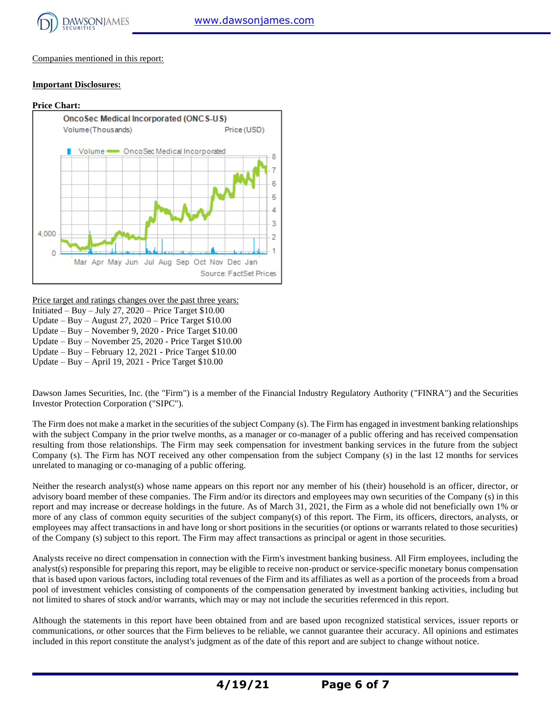

Companies mentioned in this report:

#### **Important Disclosures:**



Price target and ratings changes over the past three years: Initiated – Buy – July 27,  $2020$  – Price Target \$10.00 Update – Buy – August 27, 2020 – Price Target \$10.00 Update – Buy – November 9, 2020 - Price Target \$10.00 Update – Buy – November 25, 2020 - Price Target \$10.00

Update – Buy – February 12, 2021 - Price Target \$10.00

Update – Buy – April 19, 2021 - Price Target \$10.00

Dawson James Securities, Inc. (the "Firm") is a member of the Financial Industry Regulatory Authority ("FINRA") and the Securities Investor Protection Corporation ("SIPC").

The Firm does not make a market in the securities of the subject Company (s). The Firm has engaged in investment banking relationships with the subject Company in the prior twelve months, as a manager or co-manager of a public offering and has received compensation resulting from those relationships. The Firm may seek compensation for investment banking services in the future from the subject Company (s). The Firm has NOT received any other compensation from the subject Company (s) in the last 12 months for services unrelated to managing or co-managing of a public offering.

Neither the research analyst(s) whose name appears on this report nor any member of his (their) household is an officer, director, or advisory board member of these companies. The Firm and/or its directors and employees may own securities of the Company (s) in this report and may increase or decrease holdings in the future. As of March 31, 2021, the Firm as a whole did not beneficially own 1% or more of any class of common equity securities of the subject company(s) of this report. The Firm, its officers, directors, analysts, or employees may affect transactions in and have long or short positions in the securities (or options or warrants related to those securities) of the Company (s) subject to this report. The Firm may affect transactions as principal or agent in those securities.

Analysts receive no direct compensation in connection with the Firm's investment banking business. All Firm employees, including the analyst(s) responsible for preparing this report, may be eligible to receive non-product or service-specific monetary bonus compensation that is based upon various factors, including total revenues of the Firm and its affiliates as well as a portion of the proceeds from a broad pool of investment vehicles consisting of components of the compensation generated by investment banking activities, including but not limited to shares of stock and/or warrants, which may or may not include the securities referenced in this report.

Although the statements in this report have been obtained from and are based upon recognized statistical services, issuer reports or communications, or other sources that the Firm believes to be reliable, we cannot guarantee their accuracy. All opinions and estimates included in this report constitute the analyst's judgment as of the date of this report and are subject to change without notice.